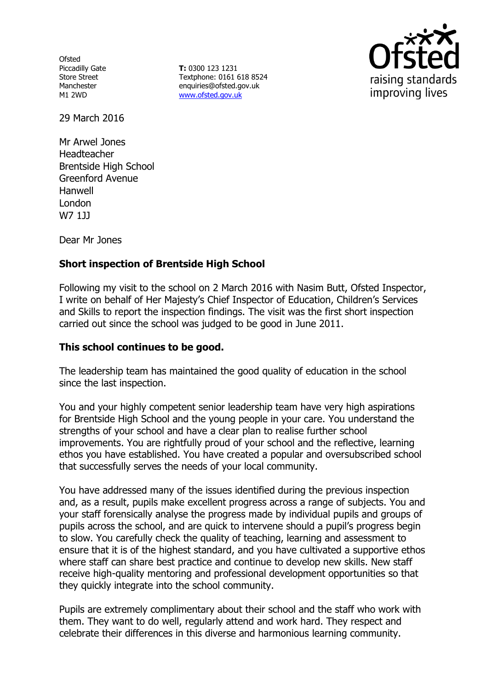**Ofsted** Piccadilly Gate Store Street Manchester M1 2WD

**T:** 0300 123 1231 Textphone: 0161 618 8524 enquiries@ofsted.gov.uk [www.ofsted.gov.uk](http://www.ofsted.gov.uk/)



29 March 2016

Mr Arwel Jones Headteacher Brentside High School Greenford Avenue Hanwell London W7 1JJ

Dear Mr Jones

# **Short inspection of Brentside High School**

Following my visit to the school on 2 March 2016 with Nasim Butt, Ofsted Inspector, I write on behalf of Her Majesty's Chief Inspector of Education, Children's Services and Skills to report the inspection findings. The visit was the first short inspection carried out since the school was judged to be good in June 2011.

### **This school continues to be good.**

The leadership team has maintained the good quality of education in the school since the last inspection.

You and your highly competent senior leadership team have very high aspirations for Brentside High School and the young people in your care. You understand the strengths of your school and have a clear plan to realise further school improvements. You are rightfully proud of your school and the reflective, learning ethos you have established. You have created a popular and oversubscribed school that successfully serves the needs of your local community.

You have addressed many of the issues identified during the previous inspection and, as a result, pupils make excellent progress across a range of subjects. You and your staff forensically analyse the progress made by individual pupils and groups of pupils across the school, and are quick to intervene should a pupil's progress begin to slow. You carefully check the quality of teaching, learning and assessment to ensure that it is of the highest standard, and you have cultivated a supportive ethos where staff can share best practice and continue to develop new skills. New staff receive high-quality mentoring and professional development opportunities so that they quickly integrate into the school community.

Pupils are extremely complimentary about their school and the staff who work with them. They want to do well, regularly attend and work hard. They respect and celebrate their differences in this diverse and harmonious learning community.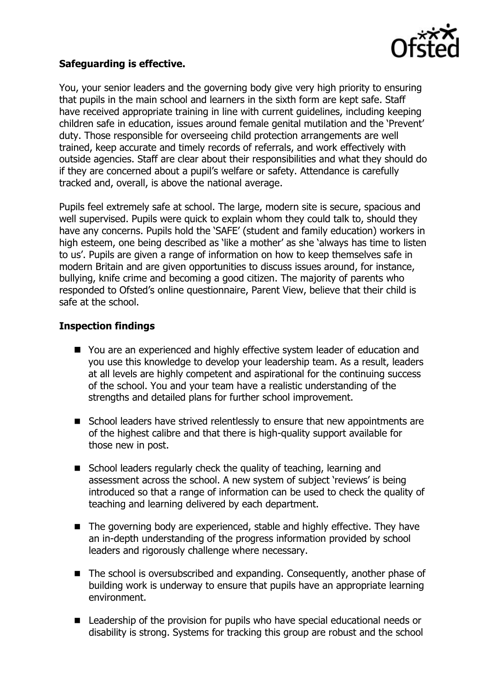

## **Safeguarding is effective.**

You, your senior leaders and the governing body give very high priority to ensuring that pupils in the main school and learners in the sixth form are kept safe. Staff have received appropriate training in line with current guidelines, including keeping children safe in education, issues around female genital mutilation and the 'Prevent' duty. Those responsible for overseeing child protection arrangements are well trained, keep accurate and timely records of referrals, and work effectively with outside agencies. Staff are clear about their responsibilities and what they should do if they are concerned about a pupil's welfare or safety. Attendance is carefully tracked and, overall, is above the national average.

Pupils feel extremely safe at school. The large, modern site is secure, spacious and well supervised. Pupils were quick to explain whom they could talk to, should they have any concerns. Pupils hold the 'SAFE' (student and family education) workers in high esteem, one being described as 'like a mother' as she 'always has time to listen to us'. Pupils are given a range of information on how to keep themselves safe in modern Britain and are given opportunities to discuss issues around, for instance, bullying, knife crime and becoming a good citizen. The majority of parents who responded to Ofsted's online questionnaire, Parent View, believe that their child is safe at the school.

## **Inspection findings**

- You are an experienced and highly effective system leader of education and you use this knowledge to develop your leadership team. As a result, leaders at all levels are highly competent and aspirational for the continuing success of the school. You and your team have a realistic understanding of the strengths and detailed plans for further school improvement.
- School leaders have strived relentlessly to ensure that new appointments are of the highest calibre and that there is high-quality support available for those new in post.
- School leaders regularly check the quality of teaching, learning and assessment across the school. A new system of subject 'reviews' is being introduced so that a range of information can be used to check the quality of teaching and learning delivered by each department.
- The governing body are experienced, stable and highly effective. They have an in-depth understanding of the progress information provided by school leaders and rigorously challenge where necessary.
- The school is oversubscribed and expanding. Consequently, another phase of building work is underway to ensure that pupils have an appropriate learning environment.
- Leadership of the provision for pupils who have special educational needs or disability is strong. Systems for tracking this group are robust and the school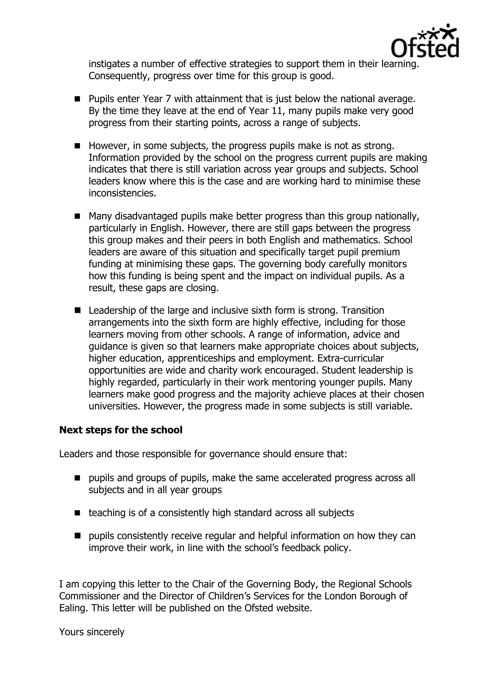

instigates a number of effective strategies to support them in their learning. Consequently, progress over time for this group is good.

- **Pupils enter Year 7 with attainment that is just below the national average.** By the time they leave at the end of Year 11, many pupils make very good progress from their starting points, across a range of subjects.
- However, in some subjects, the progress pupils make is not as strong. Information provided by the school on the progress current pupils are making indicates that there is still variation across year groups and subjects. School leaders know where this is the case and are working hard to minimise these inconsistencies.
- Many disadvantaged pupils make better progress than this group nationally, particularly in English. However, there are still gaps between the progress this group makes and their peers in both English and mathematics. School leaders are aware of this situation and specifically target pupil premium funding at minimising these gaps. The governing body carefully monitors how this funding is being spent and the impact on individual pupils. As a result, these gaps are closing.
- Leadership of the large and inclusive sixth form is strong. Transition arrangements into the sixth form are highly effective, including for those learners moving from other schools. A range of information, advice and guidance is given so that learners make appropriate choices about subjects, higher education, apprenticeships and employment. Extra-curricular opportunities are wide and charity work encouraged. Student leadership is highly regarded, particularly in their work mentoring younger pupils. Many learners make good progress and the majority achieve places at their chosen universities. However, the progress made in some subjects is still variable.

#### **Next steps for the school**

Leaders and those responsible for governance should ensure that:

- **P** pupils and groups of pupils, make the same accelerated progress across all subjects and in all year groups
- teaching is of a consistently high standard across all subjects
- $\blacksquare$  pupils consistently receive regular and helpful information on how they can improve their work, in line with the school's feedback policy.

I am copying this letter to the Chair of the Governing Body, the Regional Schools Commissioner and the Director of Children's Services for the London Borough of Ealing. This letter will be published on the Ofsted website.

Yours sincerely